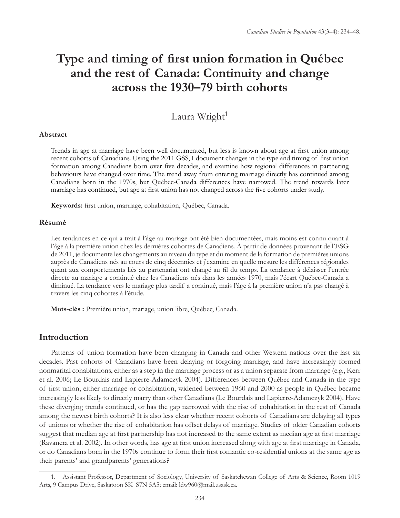# **Type and timing of first union formation in Québec and the rest of Canada: Continuity and change across the 1930–79 birth cohorts**

# Laura Wright $1$

# **Abstract**

Trends in age at marriage have been well documented, but less is known about age at first union among recent cohorts of Canadians. Using the 2011 GSS, I document changes in the type and timing of first union formation among Canadians born over five decades, and examine how regional differences in partnering behaviours have changed over time. The trend away from entering marriage directly has continued among Canadians born in the 1970s, but Québec-Canada differences have narrowed. The trend towards later marriage has continued, but age at first union has not changed across the five cohorts under study.

**Keywords:** first union, marriage, cohabitation, Québec, Canada.

# **Résumé**

Les tendances en ce qui a trait à l'âge au mariage ont été bien documentées, mais moins est connu quant à l'âge à la première union chez les dernières cohortes de Canadiens. À partir de données provenant de l'ESG de 2011, je documente les changements au niveau du type et du moment de la formation de premières unions auprès de Canadiens nés au cours de cinq décennies et j'examine en quelle mesure les différences régionales quant aux comportements liés au partenariat ont changé au fil du temps. La tendance à délaisser l'entrée directe au mariage a continué chez les Canadiens nés dans les années 1970, mais l'écart Québec-Canada a diminué. La tendance vers le mariage plus tardif a continué, mais l'âge à la première union n'a pas changé à travers les cinq cohortes à l'étude.

**Mots-clés :** Première union, mariage, union libre, Québec, Canada.

# **Introduction**

Patterns of union formation have been changing in Canada and other Western nations over the last six decades. Past cohorts of Canadians have been delaying or forgoing marriage, and have increasingly formed nonmarital cohabitations, either as a step in the marriage process or as a union separate from marriage (e.g., Kerr et al. 2006; Le Bourdais and Lapierre-Adamczyk 2004). Differences between Québec and Canada in the type of first union, either marriage or cohabitation, widened between 1960 and 2000 as people in Québec became increasingly less likely to directly marry than other Canadians (Le Bourdais and Lapierre-Adamczyk 2004). Have these diverging trends continued, or has the gap narrowed with the rise of cohabitation in the rest of Canada among the newest birth cohorts? It is also less clear whether recent cohorts of Canadians are delaying all types of unions or whether the rise of cohabitation has offset delays of marriage. Studies of older Canadian cohorts suggest that median age at first partnership has not increased to the same extent as median age at first marriage (Ravanera et al. 2002). In other words, has age at first union increased along with age at first marriage in Canada, or do Canadians born in the 1970s continue to form their first romantic co-residential unions at the same age as their parents' and grandparents' generations?

<sup>1.</sup> Assistant Professor, Department of Sociology, University of Saskatchewan College of Arts & Science, Room 1019 Arts, 9 Campus Drive, Saskatoon SK S7N 5A5; email: ldw960@mail.usask.ca.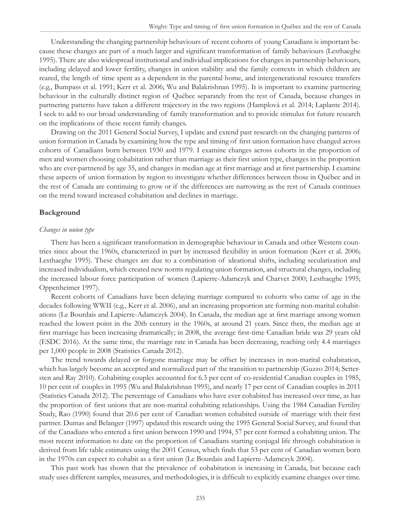Understanding the changing partnership behaviours of recent cohorts of young Canadians is important because these changes are part of a much larger and significant transformation of family behaviours (Lesthaeghe 1995). There are also widespread institutional and individual implications for changes in partnership behaviours, including delayed and lower fertility, changes in union stability and the family contexts in which children are reared, the length of time spent as a dependent in the parental home, and intergenerational resource transfers (e.g., Bumpass et al. 1991; Kerr et al. 2006; Wu and Balakrishnan 1995). It is important to examine partnering behaviour in the culturally distinct region of Québec separately from the rest of Canada, because changes in partnering patterns have taken a different trajectory in the two regions (Hamplová et al. 2014; Laplante 2014). I seek to add to our broad understanding of family transformation and to provide stimulus for future research on the implications of these recent family changes.

Drawing on the 2011 General Social Survey, I update and extend past research on the changing patterns of union formation in Canada by examining how the type and timing of first union formation have changed across cohorts of Canadians born between 1930 and 1979. I examine changes across cohorts in the proportion of men and women choosing cohabitation rather than marriage as their first union type, changes in the proportion who are ever-partnered by age 35, and changes in median age at first marriage and at first partnership. I examine these aspects of union formation by region to investigate whether differences between those in Québec and in the rest of Canada are continuing to grow or if the differences are narrowing as the rest of Canada continues on the trend toward increased cohabitation and declines in marriage.

# **Background**

# *Changes in union type*

There has been a significant transformation in demographic behaviour in Canada and other Western countries since about the 1960s, characterized in part by increased flexibility in union formation (Kerr et al. 2006; Lesthaeghe 1995). These changes are due to a combination of ideational shifts, including secularization and increased individualism, which created new norms regulating union formation, and structural changes, including the increased labour force participation of women (Lapierre-Adamczyk and Charvet 2000; Lesthaeghe 1995; Oppenheimer 1997).

Recent cohorts of Canadians have been delaying marriage compared to cohorts who came of age in the decades following WWII (e.g., Kerr et al. 2006), and an increasing proportion are forming non-marital cohabitations (Le Bourdais and Lapierre-Adamczyk 2004). In Canada, the median age at first marriage among women reached the lowest point in the 20th century in the 1960s, at around 21 years. Since then, the median age at first marriage has been increasing dramatically; in 2008, the average first-time Canadian bride was 29 years old (ESDC 2016). At the same time, the marriage rate in Canada has been decreasing, reaching only 4.4 marriages per 1,000 people in 2008 (Statistics Canada 2012).

The trend towards delayed or forgone marriage may be offset by increases in non-marital cohabitation, which has largely become an accepted and normalized part of the transition to partnership (Guzzo 2014; Settersten and Ray 2010). Cohabiting couples accounted for 6.3 per cent of co-residential Canadian couples in 1985, 10 per cent of couples in 1995 (Wu and Balakrishnan 1995), and nearly 17 per cent of Canadian couples in 2011 (Statistics Canada 2012). The percentage of Canadians who have ever cohabited has increased over time, as has the proportion of first unions that are non-marital cohabiting relationships. Using the 1984 Canadian Fertility Study, Rao (1990) found that 20.6 per cent of Canadian women cohabited outside of marriage with their first partner. Dumas and Belanger (1997) updated this research using the 1995 General Social Survey, and found that of the Canadians who entered a first union between 1990 and 1994, 57 per cent formed a cohabiting union. The most recent information to date on the proportion of Canadians starting conjugal life through cohabitation is derived from life table estimates using the 2001 Census, which finds that 53 per cent of Canadian women born in the 1970s can expect to cohabit as a first union (Le Bourdais and Lapierre-Adamczyk 2004).

This past work has shown that the prevalence of cohabitation is increasing in Canada, but because each study uses different samples, measures, and methodologies, it is difficult to explicitly examine changes over time.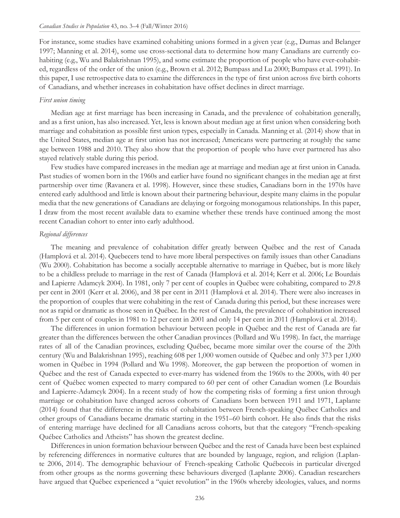For instance, some studies have examined cohabiting unions formed in a given year (e.g., Dumas and Belanger 1997; Manning et al. 2014), some use cross-sectional data to determine how many Canadians are currently cohabiting (e.g., Wu and Balakrishnan 1995), and some estimate the proportion of people who have ever-cohabited, regardless of the order of the union (e.g., Brown et al. 2012; Bumpass and Lu 2000; Bumpass et al. 1991). In this paper, I use retrospective data to examine the differences in the type of first union across five birth cohorts of Canadians, and whether increases in cohabitation have offset declines in direct marriage.

# *First union timing*

Median age at first marriage has been increasing in Canada, and the prevalence of cohabitation generally, and as a first union, has also increased. Yet, less is known about median age at first union when considering both marriage and cohabitation as possible first union types, especially in Canada. Manning et al. (2014) show that in the United States, median age at first union has not increased; Americans were partnering at roughly the same age between 1988 and 2010. They also show that the proportion of people who have ever partnered has also stayed relatively stable during this period.

Few studies have compared increases in the median age at marriage and median age at first union in Canada. Past studies of women born in the 1960s and earlier have found no significant changes in the median age at first partnership over time (Ravanera et al. 1998). However, since these studies, Canadians born in the 1970s have entered early adulthood and little is known about their partnering behaviour, despite many claims in the popular media that the new generations of Canadians are delaying or forgoing monogamous relationships. In this paper, I draw from the most recent available data to examine whether these trends have continued among the most recent Canadian cohort to enter into early adulthood.

#### *Regional differences*

The meaning and prevalence of cohabitation differ greatly between Québec and the rest of Canada (Hamplová et al. 2014). Quebecers tend to have more liberal perspectives on family issues than other Canadians (Wu 2000). Cohabitation has become a socially acceptable alternative to marriage in Québec, but is more likely to be a childless prelude to marriage in the rest of Canada (Hamplová et al. 2014; Kerr et al. 2006; Le Bourdais and Lapierre Adamcyk 2004). In 1981, only 7 per cent of couples in Québec were cohabiting, compared to 29.8 per cent in 2001 (Kerr et al. 2006), and 38 per cent in 2011 (Hamplová et al. 2014). There were also increases in the proportion of couples that were cohabiting in the rest of Canada during this period, but these increases were not as rapid or dramatic as those seen in Québec. In the rest of Canada, the prevalence of cohabitation increased from 5 per cent of couples in 1981 to 12 per cent in 2001 and only 14 per cent in 2011 (Hamplová et al. 2014).

The differences in union formation behaviour between people in Québec and the rest of Canada are far greater than the differences between the other Canadian provinces (Pollard and Wu 1998). In fact, the marriage rates of all of the Canadian provinces, excluding Québec, became more similar over the course of the 20th century (Wu and Balakrishnan 1995), reaching 608 per 1,000 women outside of Québec and only 373 per 1,000 women in Québec in 1994 (Pollard and Wu 1998). Moreover, the gap between the proportion of women in Québec and the rest of Canada expected to ever-marry has widened from the 1960s to the 2000s, with 40 per cent of Québec women expected to marry compared to 60 per cent of other Canadian women (Le Bourdais and Lapierre-Adamcyk 2004). In a recent study of how the competing risks of forming a first union through marriage or cohabitation have changed across cohorts of Canadians born between 1911 and 1971, Laplante (2014) found that the difference in the risks of cohabitation between French-speaking Québec Catholics and other groups of Canadians became dramatic starting in the 1951–60 birth cohort. He also finds that the risks of entering marriage have declined for all Canadians across cohorts, but that the category "French-speaking Québec Catholics and Atheists" has shown the greatest decline.

Differences in union formation behaviour between Québec and the rest of Canada have been best explained by referencing differences in normative cultures that are bounded by language, region, and religion (Laplante 2006, 2014). The demographic behaviour of French-speaking Catholic Québecois in particular diverged from other groups as the norms governing these behaviours diverged (Laplante 2006). Canadian researchers have argued that Québec experienced a "quiet revolution" in the 1960s whereby ideologies, values, and norms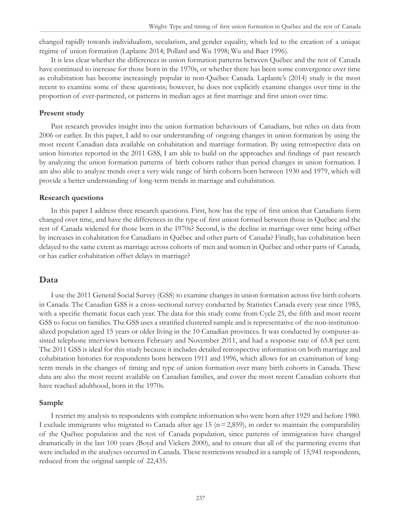changed rapidly towards individualism, secularism, and gender equality, which led to the creation of a unique regime of union formation (Laplante 2014; Pollard and Wu 1998; Wu and Baer 1996).

It is less clear whether the differences in union formation patterns between Québec and the rest of Canada have continued to increase for those born in the 1970s, or whether there has been some convergence over time as cohabitation has become increasingly popular in non-Québec Canada. Laplante's (2014) study is the most recent to examine some of these questions; however, he does not explicitly examine changes over time in the proportion of ever-partnered, or patterns in median ages at first marriage and first union over time.

## **Present study**

Past research provides insight into the union formation behaviours of Canadians, but relies on data from 2006 or earlier. In this paper, I add to our understanding of ongoing changes in union formation by using the most recent Canadian data available on cohabitation and marriage formation. By using retrospective data on union histories reported in the 2011 GSS, I am able to build on the approaches and findings of past research by analyzing the union formation patterns of birth cohorts rather than period changes in union formation. I am also able to analyze trends over a very wide range of birth cohorts born between 1930 and 1979, which will provide a better understanding of long-term trends in marriage and cohabitation.

#### **Research questions**

In this paper I address three research questions. First, how has the type of first union that Canadians form changed over time, and have the differences in the type of first union formed between those in Québec and the rest of Canada widened for those born in the 1970s? Second, is the decline in marriage over time being offset by increases in cohabitation for Canadians in Québec and other parts of Canada? Finally, has cohabitation been delayed to the same extent as marriage across cohorts of men and women in Québec and other parts of Canada, or has earlier cohabitation offset delays in marriage?

# **Data**

I use the 2011 General Social Survey (GSS) to examine changes in union formation across five birth cohorts in Canada. The Canadian GSS is a cross-sectional survey conducted by Statistics Canada every year since 1985, with a specific thematic focus each year. The data for this study come from Cycle 25, the fifth and most recent GSS to focus on families. The GSS uses a stratified clustered sample and is representative of the non-institutionalized population aged 15 years or older living in the 10 Canadian provinces. It was conducted by computer-assisted telephone interviews between February and November 2011, and had a response rate of 65.8 per cent. The 2011 GSS is ideal for this study because it includes detailed retrospective information on both marriage and cohabitation histories for respondents born between 1911 and 1996, which allows for an examination of longterm trends in the changes of timing and type of union formation over many birth cohorts in Canada. These data are also the most recent available on Canadian families, and cover the most recent Canadian cohorts that have reached adulthood, born in the 1970s.

# **Sample**

I restrict my analysis to respondents with complete information who were born after 1929 and before 1980. I exclude immigrants who migrated to Canada after age 15 ( $n=2,859$ ), in order to maintain the comparability of the Québec population and the rest of Canada population, since patterns of immigration have changed dramatically in the last 100 years (Boyd and Vickers 2000), and to ensure that all of the partnering events that were included in the analyses occurred in Canada. These restrictions resulted in a sample of 15,941 respondents, reduced from the original sample of 22,435.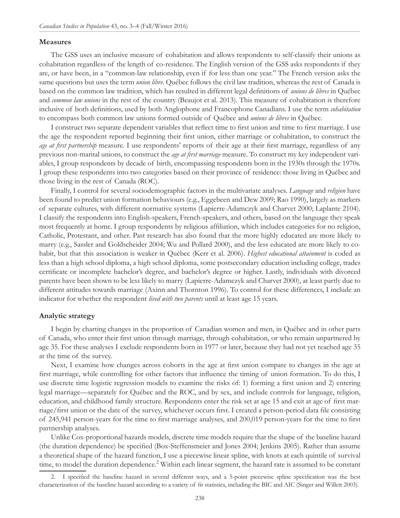#### **Measures**

The GSS uses an inclusive measure of cohabitation and allows respondents to self-classify their unions as cohabitation regardless of the length of co-residence. The English version of the GSS asks respondents if they are, or have been, in a "common-law relationship, even if for less than one year." The French version asks the same questions but uses the term *union libre.* Québec follows the civil law tradition, whereas the rest of Canada is based on the common law tradition, which has resulted in different legal definitions of *unions de libres* in Québec and *common law unions* in the rest of the country (Beaujot et al. 2013). This measure of cohabitation is therefore inclusive of both definitions, used by both Anglophone and Francophone Canadians. I use the term *cohabitation* to encompass both common law unions formed outside of Québec and *unions de libres* in Québec.

I construct two separate dependent variables that reflect time to first union and time to first marriage. I use the age the respondent reported beginning their first union, either marriage or cohabitation, to construct the *age at first partnership* measure. I use respondents' reports of their age at their first marriage, regardless of any previous non-marital unions, to construct the *age at first marriage* measure. To construct my key independent variables, I group respondents by decade of birth, encompassing respondents born in the 1930s through the 1970s. I group these respondents into two categories based on their province of residence: those living in Québec and those living in the rest of Canada (ROC).

Finally, I control for several sociodemographic factors in the multivariate analyses. *Language* and *religion* have been found to predict union formation behaviours (e.g., Eggebeen and Dew 2009; Rao 1990), largely as markers of separate cultures, with different normative systems (Lapierre-Adamczyk and Charvet 2000; Laplante 2104). I classify the respondents into English-speakers, French-speakers, and others, based on the language they speak most frequently at home. I group respondents by religious affiliation, which includes categories for no religion, Catholic, Protestant, and other. Past research has also found that the more highly educated are more likely to marry (e.g., Sassler and Goldscheider 2004; Wu and Pollard 2000), and the less educated are more likely to cohabit, but that this association is weaker in Québec (Kerr et al. 2006). *Highest educational attainment* is coded as less than a high school diploma, a high school diploma, some postsecondary education including college, trades certificate or incomplete bachelor's degree, and bachelor's degree or higher. Lastly, individuals with divorced parents have been shown to be less likely to marry (Lapierre-Adamczyk and Charvet 2000), at least partly due to different attitudes towards marriage (Axinn and Thornton 1996). To control for these differences, I include an indicator for whether the respondent *lived with two parents* until at least age 15 years.

# **Analytic strategy**

I begin by charting changes in the proportion of Canadian women and men, in Québec and in other parts of Canada, who enter their first union through marriage, through cohabitation, or who remain unpartnered by age 35. For these analyses I exclude respondents born in 1977 or later, because they had not yet reached age 35 at the time of the survey.

Next, I examine how changes across cohorts in the age at first union compare to changes in the age at first marriage, while controlling for other factors that influence the timing of union formation. To do this, I use discrete time logistic regression models to examine the risks of: 1) forming a first union and 2) entering legal marriage—separately for Québec and the ROC, and by sex, and include controls for language, religion, education, and childhood family structure. Respondents enter the risk set at age 15 and exit at age of first marriage/first union or the date of the survey, whichever occurs first. I created a person-period data file consisting of 245,941 person-years for the time to first marriage analyses, and 200,019 person-years for the time to first partnership analyses.

Unlike Cox-proportional hazards models, discrete time models require that the shape of the baseline hazard (the duration dependence) be specified (Box-Steffensmeier and Jones 2004; Jenkins 2005). Rather than assume a theoretical shape of the hazard function, I use a piecewise linear spline, with knots at each quintile of survival time, to model the duration dependence.<sup>2</sup> Within each linear segment, the hazard rate is assumed to be constant

<sup>2.</sup> I specified the baseline hazard in several different ways, and a 5-point piecewise spline specification was the best characterization of the baseline hazard according to a variety of fit statistics, including the BIC and AIC (Singer and Willett 2003).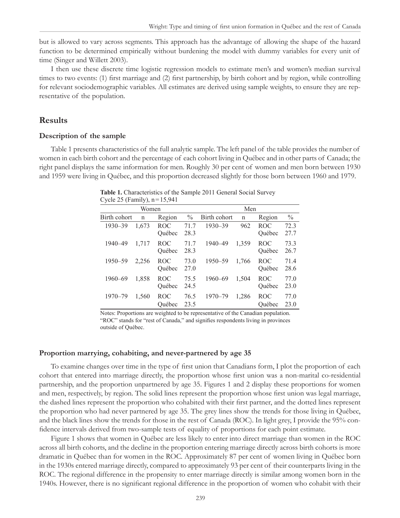but is allowed to vary across segments. This approach has the advantage of allowing the shape of the hazard function to be determined empirically without burdening the model with dummy variables for every unit of time (Singer and Willett 2003).

I then use these discrete time logistic regression models to estimate men's and women's median survival times to two events: (1) first marriage and (2) first partnership, by birth cohort and by region, while controlling for relevant sociodemographic variables. All estimates are derived using sample weights, to ensure they are representative of the population.

# **Results**

# **Description of the sample**

Table 1 presents characteristics of the full analytic sample. The left panel of the table provides the number of women in each birth cohort and the percentage of each cohort living in Québec and in other parts of Canada; the right panel displays the same information for men. Roughly 30 per cent of women and men born between 1930 and 1959 were living in Québec, and this proportion decreased slightly for those born between 1960 and 1979.

Table 1. Characteristics of the Sample 2011 General Social Survey Cycle 25 (Family),  $n=15,941$ 

| Women        |             |                      |               | Men          |             |                      |               |  |
|--------------|-------------|----------------------|---------------|--------------|-------------|----------------------|---------------|--|
| Birth cohort | $\mathbf n$ | Region               | $\frac{0}{0}$ | Birth cohort | $\mathbf n$ | Region               | $\frac{0}{0}$ |  |
| $1930 - 39$  | 1,673       | <b>ROC</b><br>Québec | 71.7<br>28.3  | $1930 - 39$  | 962         | <b>ROC</b><br>Québec | 72.3<br>27.7  |  |
| 1940-49      | 1.717       | <b>ROC</b><br>Québec | 71.7<br>28.3  | 1940-49      | 1,359       | <b>ROC</b><br>Québec | 73.3<br>26.7  |  |
| 1950-59      | 2,256       | <b>ROC</b><br>Québec | 73.0<br>27.0  | 1950-59      | 1,766       | <b>ROC</b><br>Québec | 71.4<br>28.6  |  |
| 1960-69      | 1,858       | <b>ROC</b><br>Québec | 75.5<br>24.5  | 1960-69      | 1.504       | <b>ROC</b><br>Québec | 77.0<br>23.0  |  |
| 1970-79      | 1,560       | <b>ROC</b><br>Québec | 76.5<br>23.5  | 1970-79      | 1,286       | <b>ROC</b><br>Québec | 77.0<br>23.0  |  |

Notes: Proportions are weighted to be representative of the Canadian population. "ROC" stands for "rest of Canada," and signifies respondents living in provinces outside of Québec.

#### **Proportion marrying, cohabiting, and never-partnered by age 35**

To examine changes over time in the type of first union that Canadians form, I plot the proportion of each cohort that entered into marriage directly, the proportion whose first union was a non-marital co-residential partnership, and the proportion unpartnered by age 35. Figures 1 and 2 display these proportions for women and men, respectively, by region. The solid lines represent the proportion whose first union was legal marriage, the dashed lines represent the proportion who cohabited with their first partner, and the dotted lines represent the proportion who had never partnered by age 35. The grey lines show the trends for those living in Québec, and the black lines show the trends for those in the rest of Canada (ROC). In light grey, I provide the 95% confidence intervals derived from two-sample tests of equality of proportions for each point estimate.

Figure 1 shows that women in Québec are less likely to enter into direct marriage than women in the ROC across all birth cohorts, and the decline in the proportion entering marriage directly across birth cohorts is more dramatic in Québec than for women in the ROC. Approximately 87 per cent of women living in Québec born in the 1930s entered marriage directly, compared to approximately 93 per cent of their counterparts living in the ROC. The regional difference in the propensity to enter marriage directly is similar among women born in the 1940s. However, there is no significant regional difference in the proportion of women who cohabit with their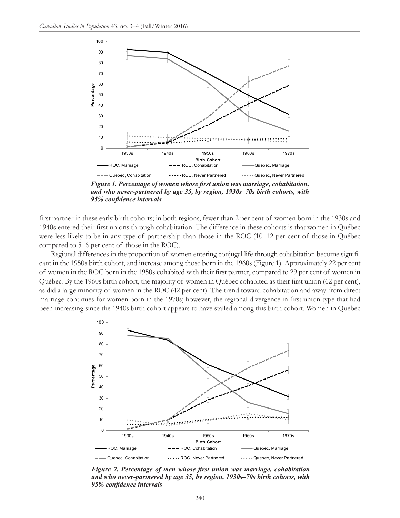

*Figure 1. Percentage of women whose first union was marriage, cohabitation, and who never-partnered by age 35, by region, 1930s–70s birth cohorts, with 95% confidence intervals*

first partner in these early birth cohorts; in both regions, fewer than 2 per cent of women born in the 1930s and 1940s entered their first unions through cohabitation. The difference in these cohorts is that women in Québec were less likely to be in any type of partnership than those in the ROC (10–12 per cent of those in Québec compared to 5–6 per cent of those in the ROC).

Regional differences in the proportion of women entering conjugal life through cohabitation become significant in the 1950s birth cohort, and increase among those born in the 1960s (Figure 1). Approximately 22 per cent of women in the ROC born in the 1950s cohabited with their first partner, compared to 29 per cent of women in Québec. By the 1960s birth cohort, the majority of women in Québec cohabited as their first union (62 per cent), as did a large minority of women in the ROC (42 per cent). The trend toward cohabitation and away from direct marriage continues for women born in the 1970s; however, the regional divergence in first union type that had been increasing since the 1940s birth cohort appears to have stalled among this birth cohort. Women in Québec erators birth cohort appears to have staned among this bi



*Figure 2. Percentage of men whose first union was marriage, cohabitation and who never-partnered by age 35, by region, 1930s–70s birth cohorts, with 95% confidence intervals*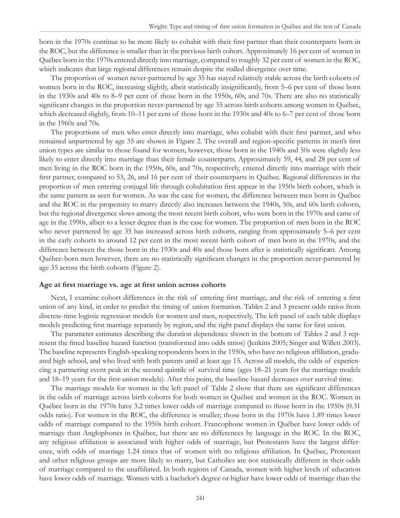born in the 1970s continue to be more likely to cohabit with their first partner than their counterparts born in the ROC, but the difference is smaller than in the previous birth cohort. Approximately 16 per cent of women in Québec born in the 1970s entered directly into marriage, compared to roughly 32 per cent of women in the ROC, which indicates that large regional differences remain despite the stalled divergence over time.

The proportion of women never-partnered by age 35 has stayed relatively stable across the birth cohorts of women born in the ROC, increasing slightly, albeit statistically insignificantly, from 5–6 per cent of those born in the 1930s and 40s to 8–9 per cent of those born in the 1950s, 60s, and 70s. There are also no statistically significant changes in the proportion never-partnered by age 35 across birth cohorts among women in Québec, which decreased slightly, from 10–11 per cent of those born in the 1930s and 40s to 6–7 per cent of those born in the 1960s and 70s.

The proportions of men who enter directly into marriage, who cohabit with their first partner, and who remained unpartnered by age 35 are shown in Figure 2. The overall and region-specific patterns in men's first union types are similar to those found for women; however, those born in the 1940s and 50s were slightly less likely to enter directly into marriage than their female counterparts. Approximately 59, 44, and 28 per cent of men living in the ROC born in the 1950s, 60s, and 70s, respectively, entered directly into marriage with their first partner, compared to 53, 26, and 16 per cent of their counterparts in Québec. Regional differences in the proportion of men entering conjugal life through cohabitation first appear in the 1950s birth cohort, which is the same pattern as seen for women. As was the case for women, the difference between men born in Québec and the ROC in the propensity to marry directly also increases between the 1940s, 50s, and 60s birth cohorts, but the regional divergence slows among the most recent birth cohort, who were born in the 1970s and came of age in the 1990s, albeit to a lesser degree than is the case for women. The proportion of men born in the ROC who never partnered by age 35 has increased across birth cohorts, ranging from approximately 5–6 per cent in the early cohorts to around 12 per cent in the most recent birth cohort of men born in the 1970s, and the difference between the those born in the 1930s and 40s and those born after is statistically significant. Among Québec-born men however, there are no statistically significant changes in the proportion never-partnered by age 35 across the birth cohorts (Figure 2).

#### **Age at first marriage vs. age at first union across cohorts**

Next, I examine cohort differences in the risk of entering first marriage, and the risk of entering a first union of any kind, in order to predict the timing of union formation. Tables 2 and 3 present odds ratios from discrete-time logistic regression models for women and men, respectively. The left panel of each table displays models predicting first marriage separately by region, and the right panel displays the same for first union.

The parameter estimates describing the duration dependence shown in the bottom of Tables 2 and 3 represent the fitted baseline hazard function (transformed into odds ratios) (Jenkins 2005; Singer and Willett 2003). The baseline represents English-speaking respondents born in the 1950s, who have no religious affiliation, graduated high school, and who lived with both parents until at least age 15. Across all models, the odds of experiencing a partnering event peak in the second quintile of survival time (ages 18–21 years for the marriage models and 18–19 years for the first-union models). After this point, the baseline hazard decreases over survival time.

The marriage models for women in the left panel of Table 2 show that there are significant differences in the odds of marriage across birth cohorts for both women in Québec and women in the ROC. Women in Québec born in the 1970s have 3.2 times lower odds of marriage compared to those born in the 1950s (0.31 odds ratio). For women in the ROC, the difference is smaller; those born in the 1970s have 1.89 times lower odds of marriage compared to the 1950s birth cohort. Francophone women in Québec have lower odds of marriage than Anglophones in Québec, but there are no differences by language in the ROC. In the ROC, any religious affiliation is associated with higher odds of marriage, but Protestants have the largest difference, with odds of marriage 1.24 times that of women with no religious affiliation. In Québec, Protestant and other religious groups are more likely to marry, but Catholics are not statistically different in their odds of marriage compared to the unaffiliated. In both regions of Canada, women with higher levels of education have lower odds of marriage. Women with a bachelor's degree or higher have lower odds of marriage than the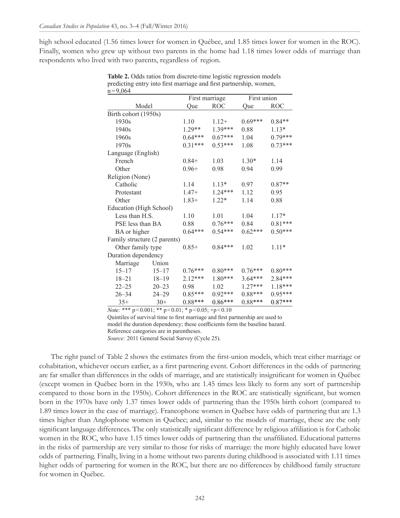high school educated (1.56 times lower for women in Québec, and 1.85 times lower for women in the ROC). Finally, women who grew up without two parents in the home had 1.18 times lower odds of marriage than respondents who lived with two parents, regardless of region.

| <br>$, v_{\rm}$                |           |           |                |           |             |
|--------------------------------|-----------|-----------|----------------|-----------|-------------|
|                                |           |           | First marriage |           | First union |
| Model                          |           | Que       | <b>ROC</b>     | Que       | <b>ROC</b>  |
| Birth cohort (1950s)           |           |           |                |           |             |
| 1930s                          |           | 1.10      | $1.12+$        | $0.69***$ | $0.84**$    |
| 1940 <sub>s</sub>              |           | $1.29**$  | $1.39***$      | 0.88      | $1.13*$     |
| 1960s                          |           | $0.64***$ | $0.67***$      | 1.04      | $0.79***$   |
| 1970s                          |           | $0.31***$ | $0.53***$      | 1.08      | $0.73***$   |
| Language (English)             |           |           |                |           |             |
| French                         |           | $0.84+$   | 1.03           | $1.30*$   | 1.14        |
| Other                          |           | $0.96+$   | 0.98           | 0.94      | 0.99        |
| Religion (None)                |           |           |                |           |             |
| Catholic                       |           | 1.14      | $1.13*$        | 0.97      | $0.87**$    |
| Protestant                     |           | $1.47+$   | $1.24***$      | 1.12      | 0.95        |
| Other                          |           | $1.83+$   | $1.22*$        | 1.14      | 0.88        |
| <b>Education (High School)</b> |           |           |                |           |             |
| Less than H.S.                 |           | 1.10      | 1.01           | 1.04      | $1.17*$     |
| PSE less than BA               |           | 0.88      | $0.76***$      | 0.84      | $0.81***$   |
| BA or higher                   |           | $0.64***$ | $0.54***$      | $0.62***$ | $0.50***$   |
| Family structure (2 parents)   |           |           |                |           |             |
| Other family type              |           | $0.85+$   | $0.84***$      | 1.02      | $1.11*$     |
| Duration dependency            |           |           |                |           |             |
| Marriage                       | Union     |           |                |           |             |
| $15 - 17$                      | $15 - 17$ | $0.76***$ | $0.80***$      | $0.76***$ | $0.80***$   |
| $18 - 21$                      | $18 - 19$ | $2.12***$ | $1.80***$      | $3.64***$ | 2.84***     |
| $22 - 25$                      | $20 - 23$ | 0.98      | 1.02           | $1.27***$ | $1.18***$   |
| $26 - 34$                      | $24 - 29$ | $0.85***$ | $0.92***$      | $0.88***$ | $0.95***$   |
| $35+$                          | $30+$     | $0.88***$ | $0.86***$      | $0.88***$ | $0.87***$   |

**Table 2.** Odds ratios from discrete-time logistic regression models predicting entry into first marriage and first partnership, women,  $n = 9,064$ 

*Note:* \*\*\*  $p < 0.001$ ; \*\*  $p < 0.01$ ; \*  $p < 0.05$ ; +p $< 0.10$ 

Quintiles of survival time to first marriage and first partnership are used to model the duration dependency; these coefficients form the baseline hazard. Reference categories are in parentheses.

*Source:* 2011 General Social Survey (Cycle 25).

The right panel of Table 2 shows the estimates from the first-union models, which treat either marriage or cohabitation, whichever occurs earlier, as a first partnering event. Cohort differences in the odds of partnering are far smaller than differences in the odds of marriage, and are statistically insignificant for women in Québec (except women in Québec born in the 1930s, who are 1.45 times less likely to form any sort of partnership compared to those born in the 1950s). Cohort differences in the ROC are statistically significant, but women born in the 1970s have only 1.37 times lower odds of partnering than the 1950s birth cohort (compared to 1.89 times lower in the case of marriage). Francophone women in Québec have odds of partnering that are 1.3 times higher than Anglophone women in Québec; and, similar to the models of marriage, these are the only significant language differences. The only statistically significant difference by religious affiliation is for Catholic women in the ROC, who have 1.15 times lower odds of partnering than the unaffiliated. Educational patterns in the risks of partnership are very similar to those for risks of marriage: the more highly educated have lower odds of partnering. Finally, living in a home without two parents during childhood is associated with 1.11 times higher odds of partnering for women in the ROC, but there are no differences by childhood family structure for women in Québec.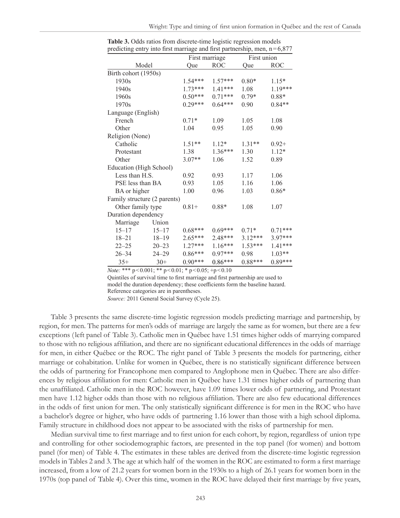|                              |           | First marriage |            | First union |            |
|------------------------------|-----------|----------------|------------|-------------|------------|
| Model                        |           | Oue            | <b>ROC</b> | Que         | <b>ROC</b> |
| Birth cohort (1950s)         |           |                |            |             |            |
| 1930s                        |           | $1.54***$      | $1.57***$  | $0.80*$     | $1.15*$    |
| 1940s                        |           | $1.73***$      | $1.41***$  | 1.08        | 1.19***    |
| 1960s                        |           | $0.50***$      | $0.71***$  | $0.79*$     | $0.88*$    |
| 1970s                        |           | $0.29***$      | $0.64***$  | 0.90        | $0.84**$   |
| Language (English)           |           |                |            |             |            |
| French                       |           | $0.71*$        | 1.09       | 1.05        | 1.08       |
| Other                        |           | 1.04           | 0.95       | 1.05        | 0.90       |
| Religion (None)              |           |                |            |             |            |
| Catholic                     |           | $1.51**$       | $1.12*$    | $1.31**$    | $0.92+$    |
| Protestant                   |           | 1.38           | $1.36***$  | 1.30        | $1.12*$    |
| Other                        |           | $3.07**$       | 1.06       | 1.52        | 0.89       |
| Education (High School)      |           |                |            |             |            |
| Less than H.S.               |           | 0.92           | 0.93       | 1.17        | 1.06       |
| PSE less than BA             |           | 0.93           | 1.05       | 1.16        | 1.06       |
| BA or higher                 |           | 1.00           | 0.96       | 1.03        | $0.86*$    |
| Family structure (2 parents) |           |                |            |             |            |
| Other family type            |           | $0.81 +$       | $0.88*$    | 1.08        | 1.07       |
| Duration dependency          |           |                |            |             |            |
| Marriage                     | Union     |                |            |             |            |
| $15 - 17$                    | $15 - 17$ | $0.68***$      | $0.69***$  | $0.71*$     | $0.71***$  |
| $18 - 21$                    | $18 - 19$ | $2.65***$      | $2.48***$  | $3.12***$   | $3.97***$  |
| $22 - 25$                    | $20 - 23$ | $1.27***$      | $1.16***$  | $1.53***$   | $1.41***$  |
| $26 - 34$                    | $24 - 29$ | $0.86***$      | $0.97***$  | 0.98        | $1.03**$   |
| $35+$                        | $30+$     | $0.90***$      | $0.86***$  | $0.88***$   | $0.89***$  |

|  | Table 3. Odds ratios from discrete-time logistic regression models         |  |  |
|--|----------------------------------------------------------------------------|--|--|
|  | predicting entry into first marriage and first partnership, men, $n=6,877$ |  |  |

*Note:* \*\*\* p<0.001; \*\* p<0.01; \* p<0.05; +p<0.10

Quintiles of survival time to first marriage and first partnership are used to model the duration dependency; these coefficients form the baseline hazard. Reference categories are in parentheses.

*Source:* 2011 General Social Survey (Cycle 25).

Table 3 presents the same discrete-time logistic regression models predicting marriage and partnership, by region, for men. The patterns for men's odds of marriage are largely the same as for women, but there are a few exceptions (left panel of Table 3). Catholic men in Québec have 1.51 times higher odds of marrying compared to those with no religious affiliation, and there are no significant educational differences in the odds of marriage for men, in either Québec or the ROC. The right panel of Table 3 presents the models for partnering, either marriage or cohabitation. Unlike for women in Québec, there is no statistically significant difference between the odds of partnering for Francophone men compared to Anglophone men in Québec. There are also differences by religious affiliation for men: Catholic men in Québec have 1.31 times higher odds of partnering than the unaffiliated. Catholic men in the ROC however, have 1.09 times lower odds of partnering, and Protestant men have 1.12 higher odds than those with no religious affiliation. There are also few educational differences in the odds of first union for men. The only statistically significant difference is for men in the ROC who have a bachelor's degree or higher, who have odds of partnering 1.16 lower than those with a high school diploma. Family structure in childhood does not appear to be associated with the risks of partnership for men.

Median survival time to first marriage and to first union for each cohort, by region, regardless of union type and controlling for other sociodemographic factors, are presented in the top panel (for women) and bottom panel (for men) of Table 4. The estimates in these tables are derived from the discrete-time logistic regression models in Tables 2 and 3. The age at which half of the women in the ROC are estimated to form a first marriage increased, from a low of 21.2 years for women born in the 1930s to a high of 26.1 years for women born in the 1970s (top panel of Table 4). Over this time, women in the ROC have delayed their first marriage by five years,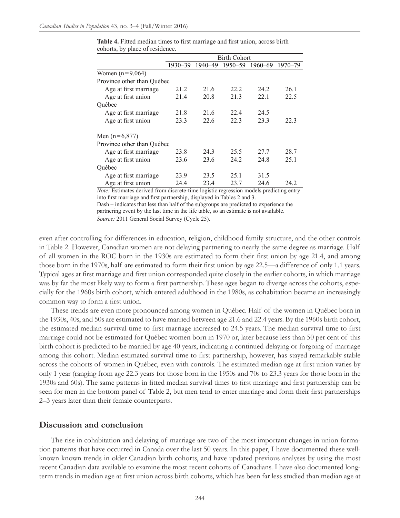|                            | <b>Birth Cohort</b> |         |         |         |         |
|----------------------------|---------------------|---------|---------|---------|---------|
|                            | $1930 - 39$         | 1940-49 | 1950–59 | 1960–69 | 1970–79 |
| Women $(n=9,064)$          |                     |         |         |         |         |
| Province other than Québec |                     |         |         |         |         |
| Age at first marriage      | 21.2                | 21.6    | 22.2    | 24.2    | 26.1    |
| Age at first union         | 21.4                | 20.8    | 21.3    | 22.1    | 22.5    |
| Ouébec                     |                     |         |         |         |         |
| Age at first marriage      | 21.8                | 21.6    | 22.4    | 24.5    |         |
| Age at first union         | 23.3                | 22.6    | 22.3    | 23.3    | 22.3    |
| Men $(n=6,877)$            |                     |         |         |         |         |
| Province other than Québec |                     |         |         |         |         |
| Age at first marriage      | 23.8                | 24.3    | 25.5    | 27.7    | 28.7    |
| Age at first union         | 23.6                | 23.6    | 24.2    | 24.8    | 25.1    |
| Ouébec                     |                     |         |         |         |         |
| Age at first marriage      | 23.9                | 23.5    | 25.1    | 31.5    |         |
| Age at first union         | 24.4                | 23.4    | 23.7    | 24.6    | 24.2    |

**Table 4.** Fitted median times to first marriage and first union, across birth cohorts, by place of residence.

*Note:* Estimates derived from discrete-time logistic regression models predicting entry into first marriage and first partnership, displayed in Tables 2 and 3. Dash – indicates that less than half of the subgroups are predicted to experience the partnering event by the last time in the life table, so an estimate is not available.

*Source:* 2011 General Social Survey (Cycle 25).

even after controlling for differences in education, religion, childhood family structure, and the other controls in Table 2. However, Canadian women are not delaying partnering to nearly the same degree as marriage. Half of all women in the ROC born in the 1930s are estimated to form their first union by age 21.4, and among those born in the 1970s, half are estimated to form their first union by age 22.5—a difference of only 1.1 years. Typical ages at first marriage and first union corresponded quite closely in the earlier cohorts, in which marriage was by far the most likely way to form a first partnership. These ages began to diverge across the cohorts, especially for the 1960s birth cohort, which entered adulthood in the 1980s, as cohabitation became an increasingly common way to form a first union.

These trends are even more pronounced among women in Québec. Half of the women in Québec born in the 1930s, 40s, and 50s are estimated to have married between age 21.6 and 22.4 years. By the 1960s birth cohort, the estimated median survival time to first marriage increased to 24.5 years. The median survival time to first marriage could not be estimated for Québec women born in 1970 or, later because less than 50 per cent of this birth cohort is predicted to be married by age 40 years, indicating a continued delaying or forgoing of marriage among this cohort. Median estimated survival time to first partnership, however, has stayed remarkably stable across the cohorts of women in Québec, even with controls. The estimated median age at first union varies by only 1 year (ranging from age 22.3 years for those born in the 1950s and 70s to 23.3 years for those born in the 1930s and 60s). The same patterns in fitted median survival times to first marriage and first partnership can be seen for men in the bottom panel of Table 2, but men tend to enter marriage and form their first partnerships 2–3 years later than their female counterparts.

# **Discussion and conclusion**

The rise in cohabitation and delaying of marriage are two of the most important changes in union formation patterns that have occurred in Canada over the last 50 years. In this paper, I have documented these wellknown known trends in older Canadian birth cohorts, and have updated previous analyses by using the most recent Canadian data available to examine the most recent cohorts of Canadians. I have also documented longterm trends in median age at first union across birth cohorts, which has been far less studied than median age at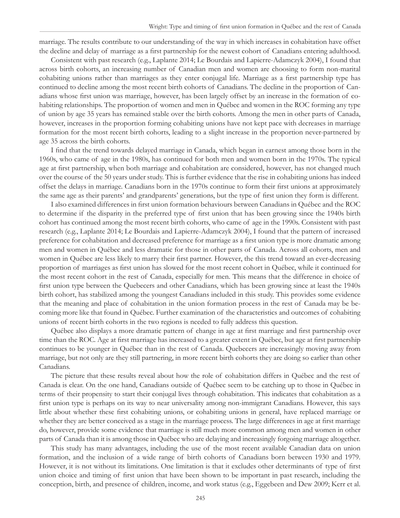marriage. The results contribute to our understanding of the way in which increases in cohabitation have offset the decline and delay of marriage as a first partnership for the newest cohort of Canadians entering adulthood.

Consistent with past research (e.g., Laplante 2014; Le Bourdais and Lapierre-Adamczyk 2004), I found that across birth cohorts, an increasing number of Canadian men and women are choosing to form non-marital cohabiting unions rather than marriages as they enter conjugal life. Marriage as a first partnership type has continued to decline among the most recent birth cohorts of Canadians. The decline in the proportion of Canadians whose first union was marriage, however, has been largely offset by an increase in the formation of cohabiting relationships. The proportion of women and men in Québec and women in the ROC forming any type of union by age 35 years has remained stable over the birth cohorts. Among the men in other parts of Canada, however, increases in the proportion forming cohabiting unions have not kept pace with decreases in marriage formation for the most recent birth cohorts, leading to a slight increase in the proportion never-partnered by age 35 across the birth cohorts.

I find that the trend towards delayed marriage in Canada, which began in earnest among those born in the 1960s, who came of age in the 1980s, has continued for both men and women born in the 1970s. The typical age at first partnership, when both marriage and cohabitation are considered, however, has not changed much over the course of the 50 years under study. This is further evidence that the rise in cohabiting unions has indeed offset the delays in marriage. Canadians born in the 1970s continue to form their first unions at approximately the same age as their parents' and grandparents' generations, but the type of first union they form is different.

I also examined differences in first union formation behaviours between Canadians in Québec and the ROC to determine if the disparity in the preferred type of first union that has been growing since the 1940s birth cohort has continued among the most recent birth cohorts, who came of age in the 1990s. Consistent with past research (e.g., Laplante 2014; Le Bourdais and Lapierre-Adamczyk 2004), I found that the pattern of increased preference for cohabitation and decreased preference for marriage as a first union type is more dramatic among men and women in Québec and less dramatic for those in other parts of Canada. Across all cohorts, men and women in Québec are less likely to marry their first partner. However, the this trend toward an ever-decreasing proportion of marriages as first union has slowed for the most recent cohort in Québec, while it continued for the most recent cohort in the rest of Canada, especially for men. This means that the difference in choice of first union type between the Quebecers and other Canadians, which has been growing since at least the 1940s birth cohort, has stabilized among the youngest Canadians included in this study. This provides some evidence that the meaning and place of cohabitation in the union formation process in the rest of Canada may be becoming more like that found in Québec. Further examination of the characteristics and outcomes of cohabiting unions of recent birth cohorts in the two regions is needed to fully address this question.

Québec also displays a more dramatic pattern of change in age at first marriage and first partnership over time than the ROC. Age at first marriage has increased to a greater extent in Québec, but age at first partnership continues to be younger in Québec than in the rest of Canada. Quebecers are increasingly moving away from marriage, but not only are they still partnering, in more recent birth cohorts they are doing so earlier than other Canadians.

The picture that these results reveal about how the role of cohabitation differs in Québec and the rest of Canada is clear. On the one hand, Canadians outside of Québec seem to be catching up to those in Québec in terms of their propensity to start their conjugal lives through cohabitation. This indicates that cohabitation as a first union type is perhaps on its way to near universality among non-immigrant Canadians. However, this says little about whether these first cohabiting unions, or cohabiting unions in general, have replaced marriage or whether they are better conceived as a stage in the marriage process. The large differences in age at first marriage do, however, provide some evidence that marriage is still much more common among men and women in other parts of Canada than it is among those in Québec who are delaying and increasingly forgoing marriage altogether.

This study has many advantages, including the use of the most recent available Canadian data on union formation, and the inclusion of a wide range of birth cohorts of Canadians born between 1930 and 1979. However, it is not without its limitations. One limitation is that it excludes other determinants of type of first union choice and timing of first union that have been shown to be important in past research, including the conception, birth, and presence of children, income, and work status (e.g., Eggebeen and Dew 2009; Kerr et al.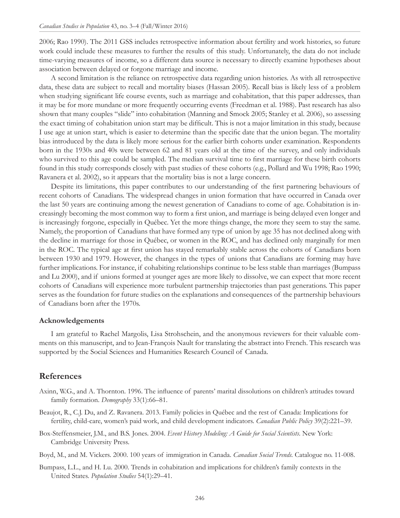2006; Rao 1990). The 2011 GSS includes retrospective information about fertility and work histories, so future work could include these measures to further the results of this study. Unfortunately, the data do not include time-varying measures of income, so a different data source is necessary to directly examine hypotheses about association between delayed or forgone marriage and income.

A second limitation is the reliance on retrospective data regarding union histories. As with all retrospective data, these data are subject to recall and mortality biases (Hassan 2005). Recall bias is likely less of a problem when studying significant life course events, such as marriage and cohabitation, that this paper addresses, than it may be for more mundane or more frequently occurring events (Freedman et al. 1988). Past research has also shown that many couples "slide" into cohabitation (Manning and Smock 2005; Stanley et al. 2006), so assessing the exact timing of cohabitation union start may be difficult. This is not a major limitation in this study, because I use age at union start, which is easier to determine than the specific date that the union began. The mortality bias introduced by the data is likely more serious for the earlier birth cohorts under examination. Respondents born in the 1930s and 40s were between 62 and 81 years old at the time of the survey, and only individuals who survived to this age could be sampled. The median survival time to first marriage for these birth cohorts found in this study corresponds closely with past studies of these cohorts (e.g., Pollard and Wu 1998; Rao 1990; Ravanera et al. 2002), so it appears that the mortality bias is not a large concern.

Despite its limitations, this paper contributes to our understanding of the first partnering behaviours of recent cohorts of Canadians. The widespread changes in union formation that have occurred in Canada over the last 50 years are continuing among the newest generation of Canadians to come of age. Cohabitation is increasingly becoming the most common way to form a first union, and marriage is being delayed even longer and is increasingly forgone, especially in Québec. Yet the more things change, the more they seem to stay the same. Namely, the proportion of Canadians that have formed any type of union by age 35 has not declined along with the decline in marriage for those in Québec, or women in the ROC, and has declined only marginally for men in the ROC. The typical age at first union has stayed remarkably stable across the cohorts of Canadians born between 1930 and 1979. However, the changes in the types of unions that Canadians are forming may have further implications. For instance, if cohabiting relationships continue to be less stable than marriages (Bumpass and Lu 2000), and if unions formed at younger ages are more likely to dissolve, we can expect that more recent cohorts of Canadians will experience more turbulent partnership trajectories than past generations. This paper serves as the foundation for future studies on the explanations and consequences of the partnership behaviours of Canadians born after the 1970s.

#### **Acknowledgements**

I am grateful to Rachel Margolis, Lisa Strohschein, and the anonymous reviewers for their valuable comments on this manuscript, and to Jean-François Nault for translating the abstract into French. This research was supported by the Social Sciences and Humanities Research Council of Canada.

# **References**

- Axinn, W.G., and A. Thornton. 1996. The influence of parents' marital dissolutions on children's attitudes toward family formation. *Demography* 33(1):66–81.
- Beaujot, R., C.J. Du, and Z. Ravanera. 2013. Family policies in Québec and the rest of Canada: Implications for fertility, child-care, women's paid work, and child development indicators. *Canadian Public Policy* 39(2):221–39.
- Box-Steffensmeier, J.M., and B.S. Jones. 2004. *Event History Modeling: A Guide for Social Scientists*. New York: Cambridge University Press.
- Boyd, M., and M. Vickers. 2000. 100 years of immigration in Canada. *Canadian Social Trends.* Catalogue no. 11-008.
- Bumpass, L.L., and H. Lu. 2000. Trends in cohabitation and implications for children's family contexts in the United States. *Population Studies* 54(1):29–41.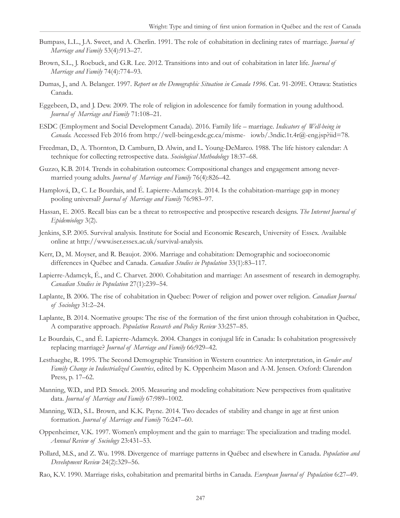- Bumpass, L.L., J.A. Sweet, and A. Cherlin. 1991. The role of cohabitation in declining rates of marriage. *Journal of Marriage and Family* 53(4):913–27.
- Brown, S.L., J. Roebuck, and G.R. Lee. 2012. Transitions into and out of cohabitation in later life. *Journal of Marriage and Family* 74(4):774–93.
- Dumas, J., and A. Belanger. 1997. *Report on the Demographic Situation in Canada 1996.* Cat. 91-209E. Ottawa: Statistics Canada.
- Eggebeen, D., and J. Dew. 2009. The role of religion in adolescence for family formation in young adulthood. *Journal of Marriage and Family* 71:108–21.
- ESDC (Employment and Social Development Canada). 2016. Family life marriage. *Indicators of Well-being in Canada.* Accessed Feb 2016 from http://well-being.esdc.gc.ca/misme- iowb/.3ndic.1t.4r@-eng.jsp?iid=78.
- Freedman, D., A. Thornton, D. Camburn, D. Alwin, and L. Young-DeMarco. 1988. The life history calendar: A technique for collecting retrospective data. *Sociological Methodology* 18:37–68.
- Guzzo, K.B. 2014. Trends in cohabitation outcomes: Compositional changes and engagement among nevermarried young adults. *Journal of Marriage and Family* 76(4):826–42.
- Hamplová, D., C. Le Bourdais, and É. Lapierre-Adamczyk. 2014. Is the cohabitation-marriage gap in money pooling universal? *Journal of Marriage and Family* 76:983–97.
- Hassan, E. 2005. Recall bias can be a threat to retrospective and prospective research designs. *The Internet Journal of Epidemiology* 3(2).
- Jenkins, S.P. 2005. Survival analysis. Institute for Social and Economic Research, University of Essex*.* Available online at http://www.iser.essex.ac.uk/survival-analysis.
- Kerr, D., M. Moyser, and R. Beaujot. 2006. Marriage and cohabitation: Demographic and socioeconomic differences in Québec and Canada. *Canadian Studies in Population* 33(1):83–117.
- Lapierre-Adamcyk, É., and C. Charvet. 2000. Cohabitation and marriage: An assesment of research in demography. *Canadian Studies in Population* 27(1):239–54.
- Laplante, B. 2006. The rise of cohabitation in Quebec: Power of religion and power over religion. *Canadian Journal of Sociology* 31:2–24.
- Laplante, B. 2014. Normative groups: The rise of the formation of the first union through cohabitation in Québec, A comparative approach. *Population Research and Policy Review* 33:257–85.
- Le Bourdais, C., and É. Lapierre-Adamcyk. 2004. Changes in conjugal life in Canada: Is cohabitation progressively replacing marriage? *Journal of Marriage and Family* 66:929–42.
- Lesthaeghe, R. 1995. The Second Demographic Transition in Western countries: An interpretation, in *Gender and Family Change in Industrialized Countries*, edited by K. Oppenheim Mason and A-M. Jensen. Oxford: Clarendon Press, p. 17–62.
- Manning, W.D., and P.D. Smock. 2005. Measuring and modeling cohabitation: New perspectives from qualitative data. *Journal of Marriage and Family* 67:989–1002.
- Manning, W.D., S.L. Brown, and K.K. Payne. 2014. Two decades of stability and change in age at first union formation. *Journal of Marriage and Family* 76:247–60.
- Oppenheimer, V.K. 1997. Women's employment and the gain to marriage: The specialization and trading model. *Annual Review of Sociology* 23:431–53.
- Pollard, M.S., and Z. Wu. 1998. Divergence of marriage patterns in Québec and elsewhere in Canada. *Population and Development Review* 24(2):329–56.
- Rao, K.V. 1990. Marriage risks, cohabitation and premarital births in Canada. *European Journal of Population* 6:27–49.